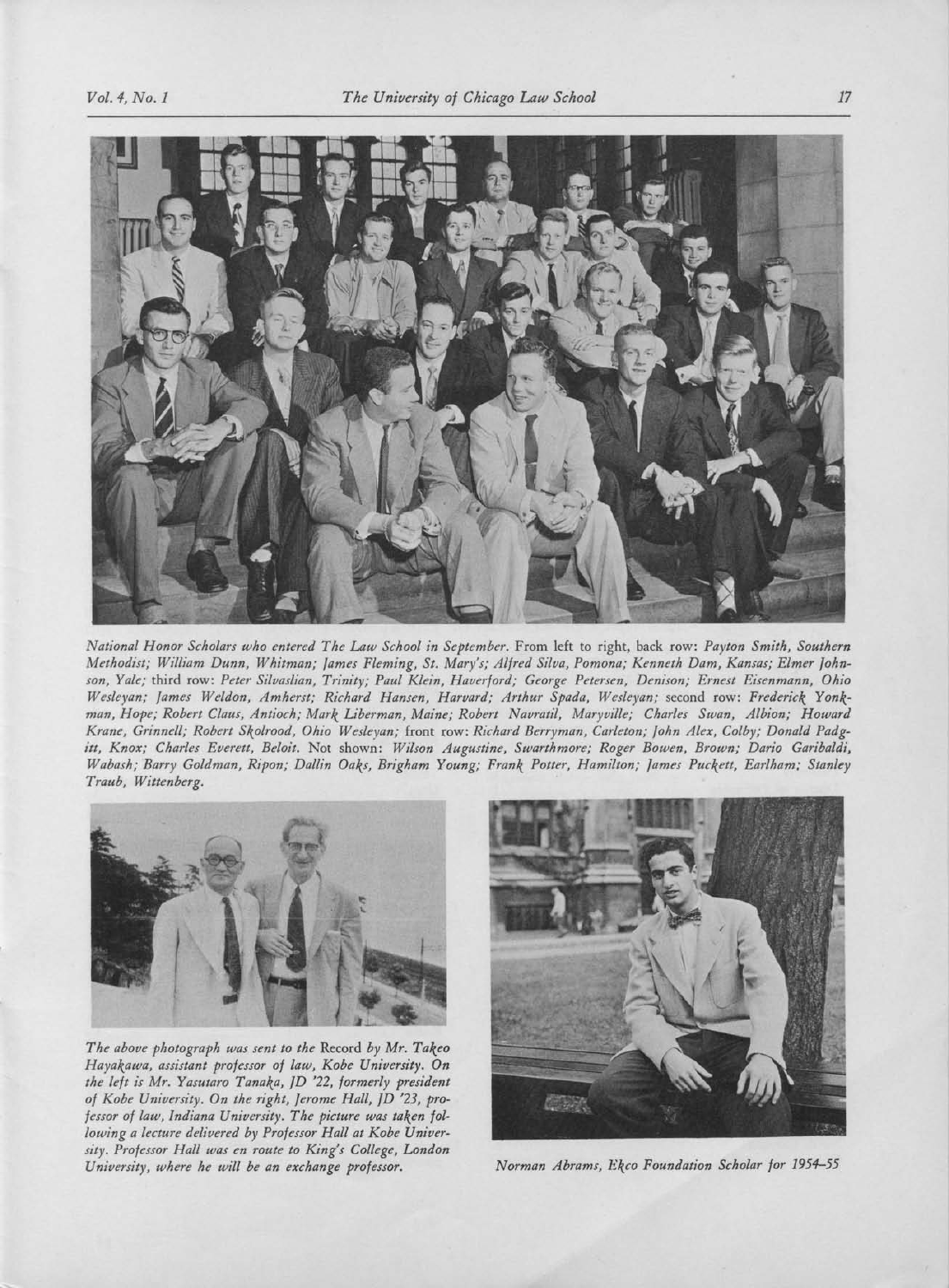

National Honor Scholars who entered The Law School in September. From left to right, back row: Payton Smith, Southern Methodist; William Dunn, Whitman; James Fleming, St. Mary's; Alfred Silva, Pomona; Kenneth Dam, Kansas; Elmer Johnson, Yale; third row: Peter Silvaslian, Trinity; Paul Klein, Haverford; George Petersen, Denison; Ernest Eisenmann, Ohio Wesleyan; James Weldon, Amherst; Richard Hansen, Harvard; Arthur Spada, Wesleyan; second row: Frederick Yonkman, Hope; Robert Claus, Antioch; Mark Liberman, Maine; Robert Navratil, Maryville; Charles Swan, Albion; Howard Krane, Grinnell; Robert Skolrood, Ohio Wesleyan; front row: Richard Berryman, Carleton; John Alex, Colby; Donald Padgitt, Knox; Charles Everett, Beloit. Not shown: Wilson Augustine, Swarthmore; Roger Bowen, Brown; Dario Garibaldi, Wabash; Barry Goldman, Ripon; Dallin Oaks, Brigham Young; Frank Potter, Hamilton; James Puckett, Earlham,' Stanley Traub, Wittenberg.



The above photograph was sent to the Record by Mr. Takeo Hayakawa, assistant professor of law, Kobe University. On the left is Mr. Yasutaro Tanaka, JD '22, formerly president of Kobe University. On the right, Jerome Hall, JD '23, professor of law, Indiana University. The picture was taken following <sup>a</sup> lecture delivered by Professor Hall at Kobe University. Professor Hall was en route to King's College, London University, where he will be an exchange professor. Norman Abrams, Ekco Foundation Scholar for 1954-55

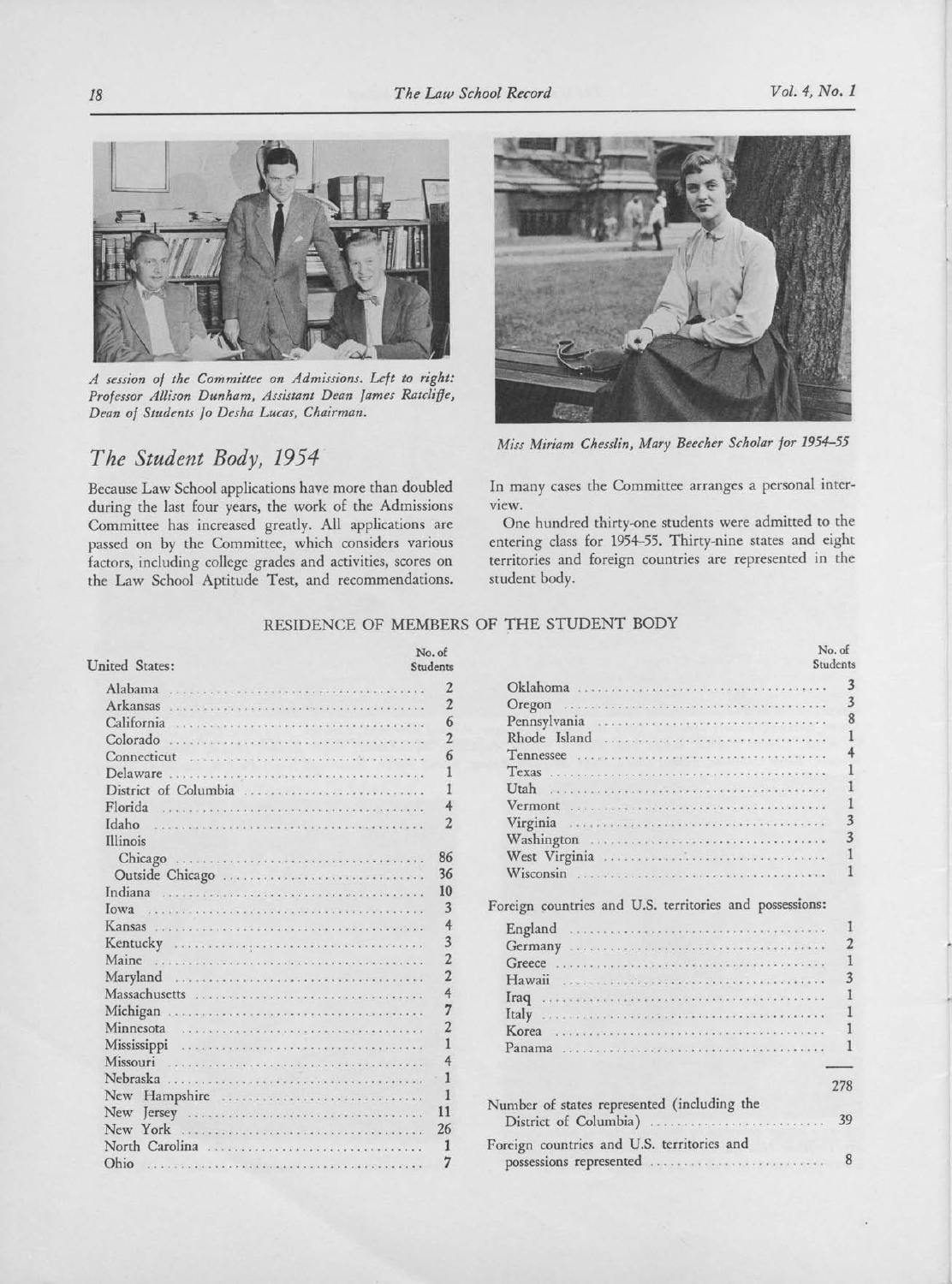

A session of the Committee on Admissions. Left to right: Professor Allison Dunham, Assistant Dean lames Ratcliffe, Dean of Students <sup>10</sup> Desha Lucas, Chairman.

## The Student Body, 1954

Because Law School applications have more than doubled during the last four years, the work of the Admissions Committee has increased greatly. All applications are passed on by the Committee, which considers various factors, including college grades and activities, scores on the Law School Aptitude Test, and recommendations.



Miss Miriam Chesslin, Mary Beecher Scholar for 1954-55

In many cases the Committee arranges <sup>a</sup> personal inter-VIew.

One hundred thirty-one students were admitted to the entering class for 1954-55. Thirty-nine states and eight territories and foreign countries are represented in the student body.

## RESIDENCE OF MEMBERS OF THE STUDENT BODY

| <b>United States:</b>                                                                                                                                                                                                                                                                           | No. of<br>Students |                                                               | No. of<br>Students |
|-------------------------------------------------------------------------------------------------------------------------------------------------------------------------------------------------------------------------------------------------------------------------------------------------|--------------------|---------------------------------------------------------------|--------------------|
| Alabama<br>The company's company's company's company's company's                                                                                                                                                                                                                                |                    |                                                               | 3                  |
| Arkansas<br>commentario composto por parte por por porto                                                                                                                                                                                                                                        |                    | Oregon                                                        | 3                  |
| California<br>Providence of the Users' single and to the the share and the                                                                                                                                                                                                                      |                    | Pennsylvania                                                  | 8                  |
| Colorado                                                                                                                                                                                                                                                                                        |                    | Rhode Island                                                  |                    |
| Connecticut<br>ins relevant process levels and explaint share and article and a                                                                                                                                                                                                                 |                    | Tennessee<br>a concern a construction of the state of the top |                    |
| Delaware<br>Contra e una alguna e eleva de alguna alguna e eleva e eleva e el                                                                                                                                                                                                                   |                    | Texas                                                         |                    |
| District of Columbia                                                                                                                                                                                                                                                                            |                    | Utah                                                          |                    |
| Florida<br><b>A 22 YO F REPORTED HER CAPTAIN CONTRACT OF A 24 YO F REPORT.</b>                                                                                                                                                                                                                  |                    | Vermont                                                       |                    |
| Idaho<br><u>Una provincia de la contra de la contra de la contra de la contra de la contra de la co</u>                                                                                                                                                                                         |                    | Virginia                                                      | 3                  |
| Illinois                                                                                                                                                                                                                                                                                        |                    |                                                               |                    |
|                                                                                                                                                                                                                                                                                                 | 86                 |                                                               |                    |
| Outside Chicago                                                                                                                                                                                                                                                                                 | 36                 | Wisconsin                                                     |                    |
| Indiana                                                                                                                                                                                                                                                                                         | 10                 |                                                               |                    |
| lowa                                                                                                                                                                                                                                                                                            | 3                  | Foreign countries and U.S. territories and possessions:       |                    |
| Kansas<br>i indian kanang tinggal sa manggal sa manggal sa karang sa manggal sa manggal sa manggal sa manggal sa manggal sa manggal sa manggal sa manggal sa manggal sa manggal sa manggal sa manggal sa manggal sa manggal sa manggal s                                                        | 4                  |                                                               |                    |
| Kentucky                                                                                                                                                                                                                                                                                        | 3                  |                                                               |                    |
| Maine<br>the substance of the contract process of a view and a second w                                                                                                                                                                                                                         | $\overline{2}$     | Greece                                                        |                    |
| Maryland                                                                                                                                                                                                                                                                                        | $\overline{2}$     | Hawaii                                                        |                    |
| Massachusetts                                                                                                                                                                                                                                                                                   | 4                  | Iraq                                                          |                    |
| Michigan<br>and the second and a second and a second and a second and a second                                                                                                                                                                                                                  | $\overline{7}$     | Italy                                                         |                    |
| Minnesota                                                                                                                                                                                                                                                                                       |                    | Korea                                                         |                    |
| Mississippi<br>$\label{eq:2.1} \begin{split} \mathcal{L}^{(1)}(t) & = \mathcal{L}^{(1)}(t) + \mathcal{L}^{(1)}(t) + \mathcal{L}^{(1)}(t) + \mathcal{L}^{(1)}(t) + \mathcal{L}^{(1)}(t) + \mathcal{L}^{(1)}(t) + \mathcal{L}^{(1)}(t) + \mathcal{L}^{(1)}(t) + \mathcal{L}^{(1)}(t) \end{split}$ |                    | Panama                                                        |                    |
| Missouri                                                                                                                                                                                                                                                                                        |                    | a para a mata a sua a sua mateixen e a sua a a mateixen e e   |                    |
| Nebraska                                                                                                                                                                                                                                                                                        |                    |                                                               |                    |
| New Hampshire                                                                                                                                                                                                                                                                                   |                    |                                                               | 278                |
|                                                                                                                                                                                                                                                                                                 | 11                 | Number of states represented (including the                   |                    |
| New York<br>versions and a concern and concernation                                                                                                                                                                                                                                             | 26                 | District of Columbia)                                         | 39                 |
| North Carolina                                                                                                                                                                                                                                                                                  |                    | Foreign countries and U.S. territories and                    |                    |
| Ohio<br>production of the second service and the second service of the service of the service of the service of the service of the service of the service of the service of the service of the service of the service of the service o                                                          | 7                  | possessions represented                                       | 8                  |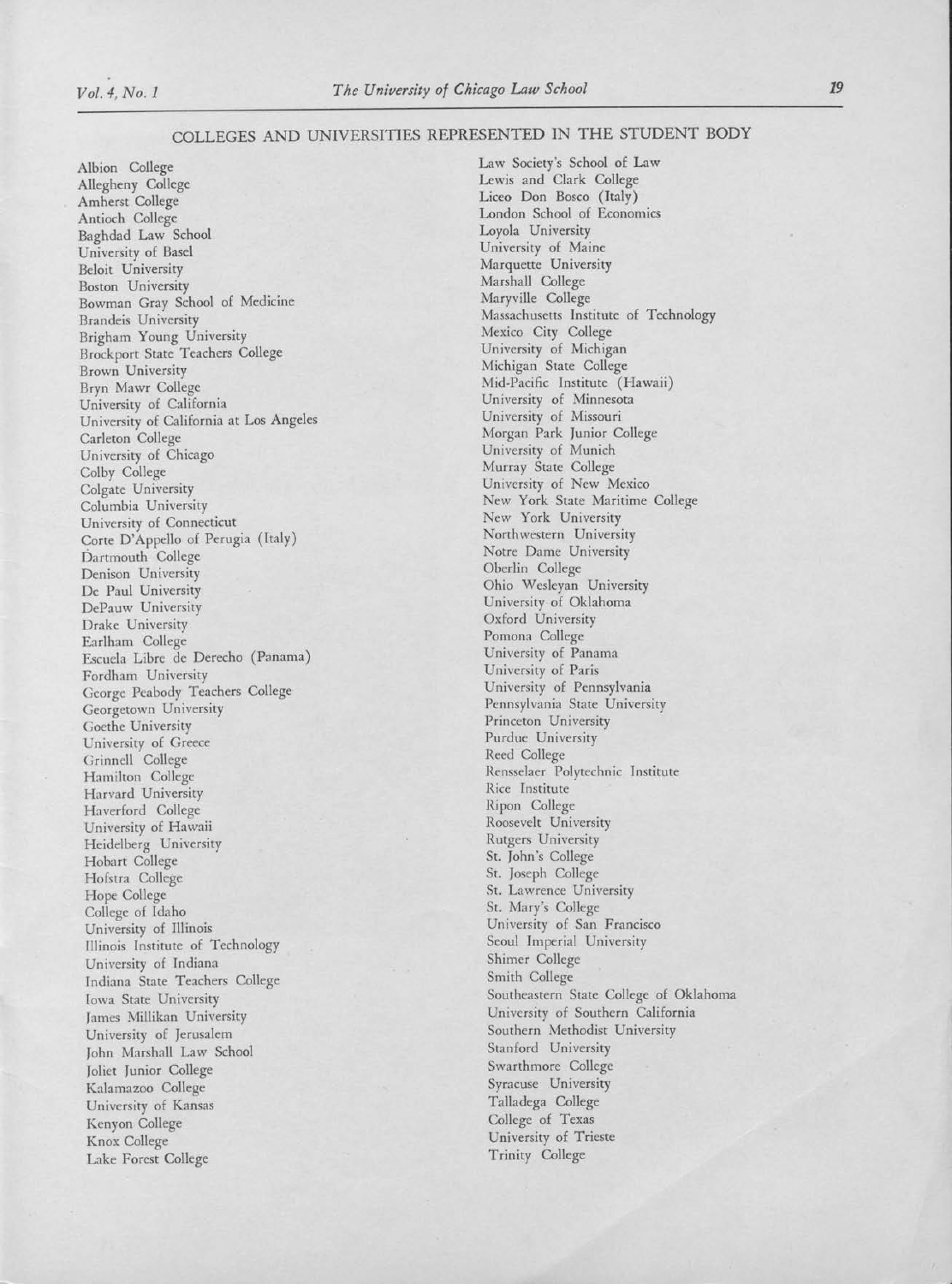## COLLEGES AND UNIVERSITIES REPRESENTED IN THE STUDENT BODY

Albion College Allegheny College Amherst College Antioch College Baghdad Law School University of Basel Beloit University Boston University Bowman Gray School of Medicine Brandeis University Brigham Young University Brockport State Teachers College Brown University Bryn Mawr College University of California University of California at Los Angeles Carleton College University of Chicago Colby College Colgate University Columbia University University of Connecticut Corte D'Appello of Perugia (Italy) Dartmouth College Denison University De Paul University DePauw University Drake University Earlham College Escuela Libre de Derecho (Panama) Fordham University George Peabody Teachers College Georgetown University Goethe University University of Greece Grinnell College Hamilton College Harvard University Haverford College University of Hawaii Heidelberg University Hobart College Hofstra College Hope College College of Idaho University of Illinois Illinois Institute of Technology University of Indiana Indiana State Teachers College Iowa State University James Millikan University University of Jerusalem John Marshall Law School Joliet Junior College Kalamazoo College University of Kansas Kenyon College Knox College Lake Forest College

Law Society's School of Law Lewis and Clark College Liceo Don Bosco (Italy) London School of Economics Loyola University University of Maine Marquette University Marshall College Maryville College Massachusetts Institute of Technology Mexico City College University of Michigan Michigan State College Mid-Pacific Institute (Hawaii) University of Minnesota University of Missouri Morgan Park Junior College University of Munich Murray State College University of New Mexico New York State Maritime College New York University Northwestern University Notre Dame University Oberlin College Ohio Wesleyan University University of Oklahoma Oxford University Pomona College University of Panama University of Paris University of Pennsylvania Pennsylvania State University Princeton University Purdue University Reed College Rensselaer Polytechnic Institute Rice Institute Ripon College Roosevelt University Rutgers University St. John's College St. Joseph College St. Lawrence University St. Mary's College University of San Francisco Seoul Imperial University Shimer College Smith College Southeastern State College of Oklahoma University of Southern California Southern Methodist University Stanford University Swarthmore College Syracuse University Talladega College College of Texas University of Trieste Trinity College